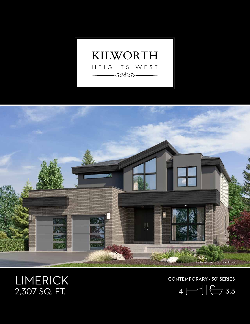



## LIMERICK<br>2,307 SQ. FT.

CONTEMPORARY • 50' SERIES

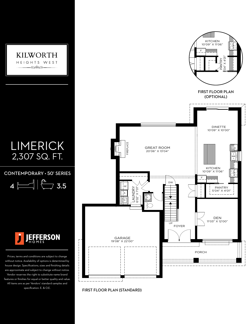

FIRST FLOOR PLAN (STANDARD)

All items are as per Vendors' standard samples and specification. E. & O.E.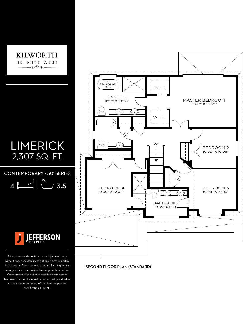

SECOND FLOOR PLAN (STANDARD)

APPROX - 1186 (NET) SQ.FT. (ROOF LINES FOR ELEVATION AA-2)

All items are as per Vendors' standard samples and specification. E. & O.E.